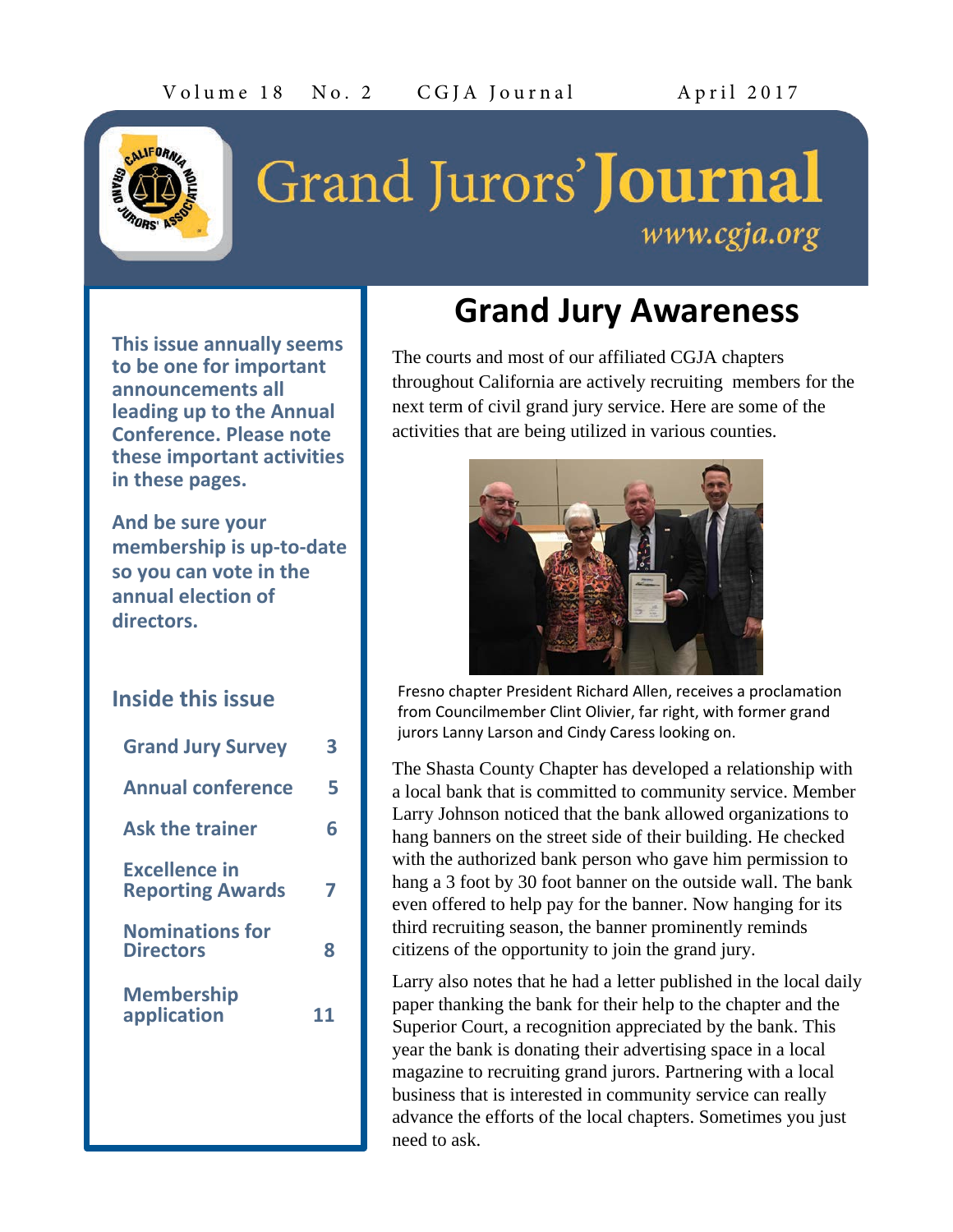

# Grand Jurors' **Journal** www.cgja.org

**This issue annually seems to be one for important announcements all leading up to the Annual Conference. Please note these important activities in these pages.**

**And be sure your membership is up-to-date so you can vote in the annual election of directors.**

### **Inside this issue**

| <b>Grand Jury Survey</b>                        | 3  |
|-------------------------------------------------|----|
| <b>Annual conference</b>                        | 5  |
| <b>Ask the trainer</b>                          | 6  |
| <b>Excellence in</b><br><b>Reporting Awards</b> |    |
| <b>Nominations for</b><br><b>Directors</b>      | я  |
| <b>Membership</b><br>application                | 11 |
|                                                 |    |

# **Grand Jury Awareness**

The courts and most of our affiliated CGJA chapters throughout California are actively recruiting members for the next term of civil grand jury service. Here are some of the activities that are being utilized in various counties.



Fresno chapter President Richard Allen, receives a proclamation from Councilmember Clint Olivier, far right, with former grand jurors Lanny Larson and Cindy Caress looking on.

The Shasta County Chapter has developed a relationship with a local bank that is committed to community service. Member Larry Johnson noticed that the bank allowed organizations to hang banners on the street side of their building. He checked with the authorized bank person who gave him permission to hang a 3 foot by 30 foot banner on the outside wall. The bank even offered to help pay for the banner. Now hanging for its third recruiting season, the banner prominently reminds citizens of the opportunity to join the grand jury.

Larry also notes that he had a letter published in the local daily paper thanking the bank for their help to the chapter and the Superior Court, a recognition appreciated by the bank. This year the bank is donating their advertising space in a local magazine to recruiting grand jurors. Partnering with a local business that is interested in community service can really advance the efforts of the local chapters. Sometimes you just need to ask.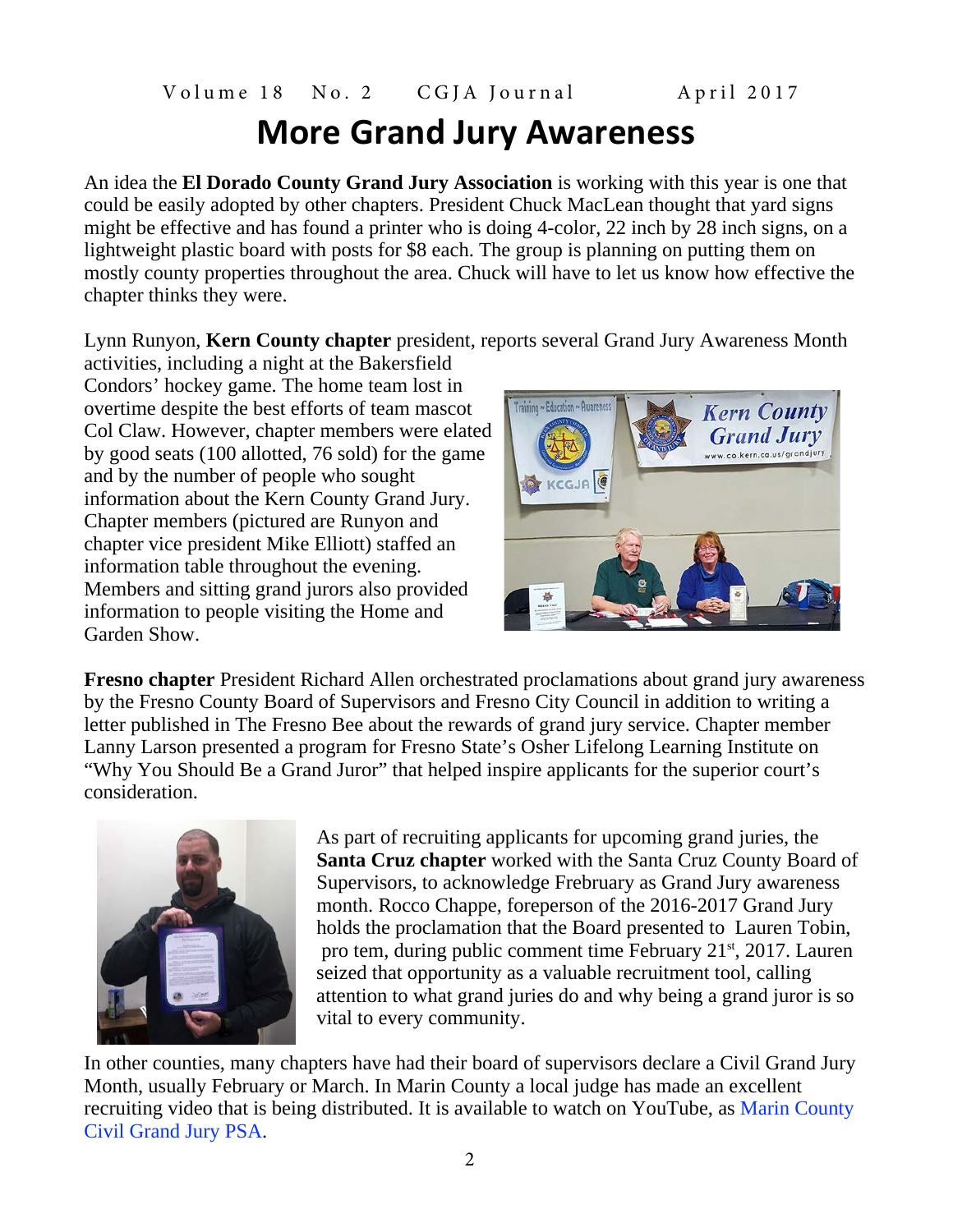# **More Grand Jury Awareness**

An idea the **El Dorado County Grand Jury Association** is working with this year is one that could be easily adopted by other chapters. President Chuck MacLean thought that yard signs might be effective and has found a printer who is doing 4-color, 22 inch by 28 inch signs, on a lightweight plastic board with posts for \$8 each. The group is planning on putting them on mostly county properties throughout the area. Chuck will have to let us know how effective the chapter thinks they were.

Lynn Runyon, **Kern County chapter** president, reports several Grand Jury Awareness Month

activities, including a night at the Bakersfield Condors' hockey game. The home team lost in overtime despite the best efforts of team mascot Col Claw. However, chapter members were elated by good seats (100 allotted, 76 sold) for the game and by the number of people who sought information about the Kern County Grand Jury. Chapter members (pictured are Runyon and chapter vice president Mike Elliott) staffed an information table throughout the evening. Members and sitting grand jurors also provided information to people visiting the Home and Garden Show.



**Fresno chapter** President Richard Allen orchestrated proclamations about grand jury awareness by the Fresno County Board of Supervisors and Fresno City Council in addition to writing a letter published in The Fresno Bee about the rewards of grand jury service. Chapter member Lanny Larson presented a program for Fresno State's Osher Lifelong Learning Institute on "Why You Should Be a Grand Juror" that helped inspire applicants for the superior court's consideration.



As part of recruiting applicants for upcoming grand juries, the **Santa Cruz chapter** worked with the Santa Cruz County Board of Supervisors, to acknowledge Frebruary as Grand Jury awareness month. Rocco Chappe, foreperson of the 2016-2017 Grand Jury holds the proclamation that the Board presented to Lauren Tobin, pro tem, during public comment time February 21<sup>st</sup>, 2017. Lauren seized that opportunity as a valuable recruitment tool, calling attention to what grand juries do and why being a grand juror is so vital to every community.

In other counties, many chapters have had their board of supervisors declare a Civil Grand Jury Month, usually February or March. In Marin County a local judge has made an excellent recruiting video that is being distributed. It is available to watch on YouTube, as Marin [County](http://r20.rs6.net/tn.jsp?f=0013pL4F4JcqOZggkcvGguJvj5wV_tkK6B2blweM6AYg_PDaipFz-fYChirjVUHbCo6I4RPBnWMzR_eg0b2sSzFFhoybviLBhpAzgfCXDIBOjyjMeXIYN8STuqE-3sjYOJaw_Fvv99F18xYTwKq9CciJnqTThDrfr7DiexC2TxBRPWs03tuop-IFA==&c=hGOwIqJL1-KgaQGBFIyM-WQL08pkPA7Iyb94SgRU1NK2pawvV9VWDg==&ch=wtm3F0NUh_7ef2MyC1VP-XnTelZnleaP2CzsNkHTPoID9TtMWWqTHw==) Civil [Grand](http://r20.rs6.net/tn.jsp?f=0013pL4F4JcqOZggkcvGguJvj5wV_tkK6B2blweM6AYg_PDaipFz-fYChirjVUHbCo6I4RPBnWMzR_eg0b2sSzFFhoybviLBhpAzgfCXDIBOjyjMeXIYN8STuqE-3sjYOJaw_Fvv99F18xYTwKq9CciJnqTThDrfr7DiexC2TxBRPWs03tuop-IFA==&c=hGOwIqJL1-KgaQGBFIyM-WQL08pkPA7Iyb94SgRU1NK2pawvV9VWDg==&ch=wtm3F0NUh_7ef2MyC1VP-XnTelZnleaP2CzsNkHTPoID9TtMWWqTHw==) Jury PSA.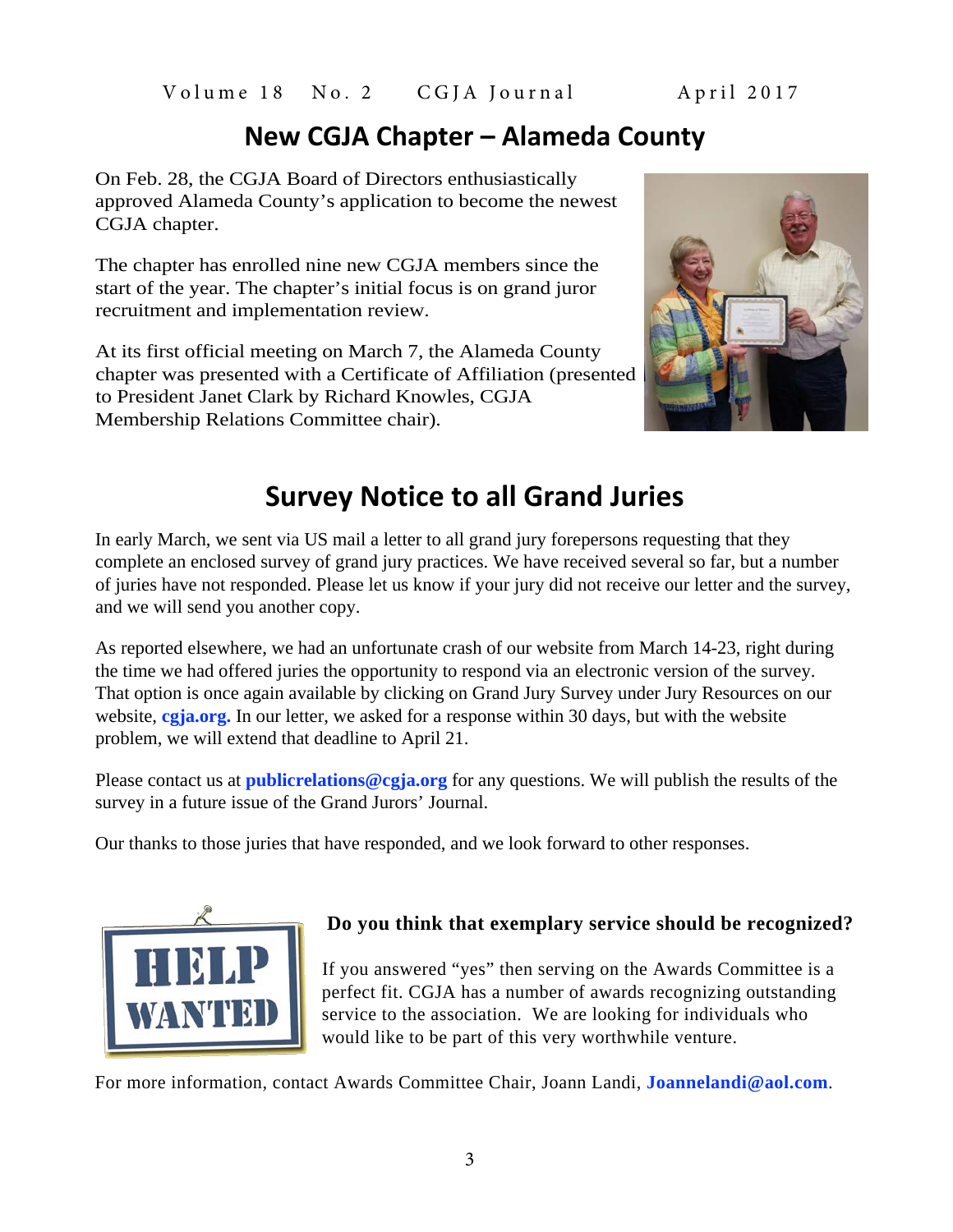# **New CGJA Chapter – Alameda County**

On Feb. 28, the CGJA Board of Directors enthusiastically approved Alameda County's application to become the newest CGJA chapter.

The chapter has enrolled nine new CGJA members since the start of the year. The chapter's initial focus is on grand juror recruitment and implementation review.

At its first official meeting on March 7, the Alameda County chapter was presented with a Certificate of Affiliation (presented to President Janet Clark by Richard Knowles, CGJA Membership Relations Committee chair).



# **Survey Notice to all Grand Juries**

In early March, we sent via US mail a letter to all grand jury forepersons requesting that they complete an enclosed survey of grand jury practices. We have received several so far, but a number of juries have not responded. Please let us know if your jury did not receive our letter and the survey, and we will send you another copy.

As reported elsewhere, we had an unfortunate crash of our website from March 14-23, right during the time we had offered juries the opportunity to respond via an electronic version of the survey. That option is once again available by clicking on Grand Jury Survey under Jury Resources on our website, **[cgja.org.](https://cgja.org/)** In our letter, we asked for a response within 30 days, but with the website problem, we will extend that deadline to April 21.

Please contact us at **[publicrelations@cgja.org](mailto:publicrelations@cgja.org)** for any questions. We will publish the results of the survey in a future issue of the Grand Jurors' Journal.

Our thanks to those juries that have responded, and we look forward to other responses.



### **Do you think that exemplary service should be recognized?**

If you answered "yes" then serving on the Awards Committee is a perfect fit. CGJA has a number of awards recognizing outstanding service to the association. We are looking for individuals who would like to be part of this very worthwhile venture.

For more information, contact Awards Committee Chair, Joann Landi, **[Joannelandi@aol.com](mailto:Joannelandi@aol.com)**.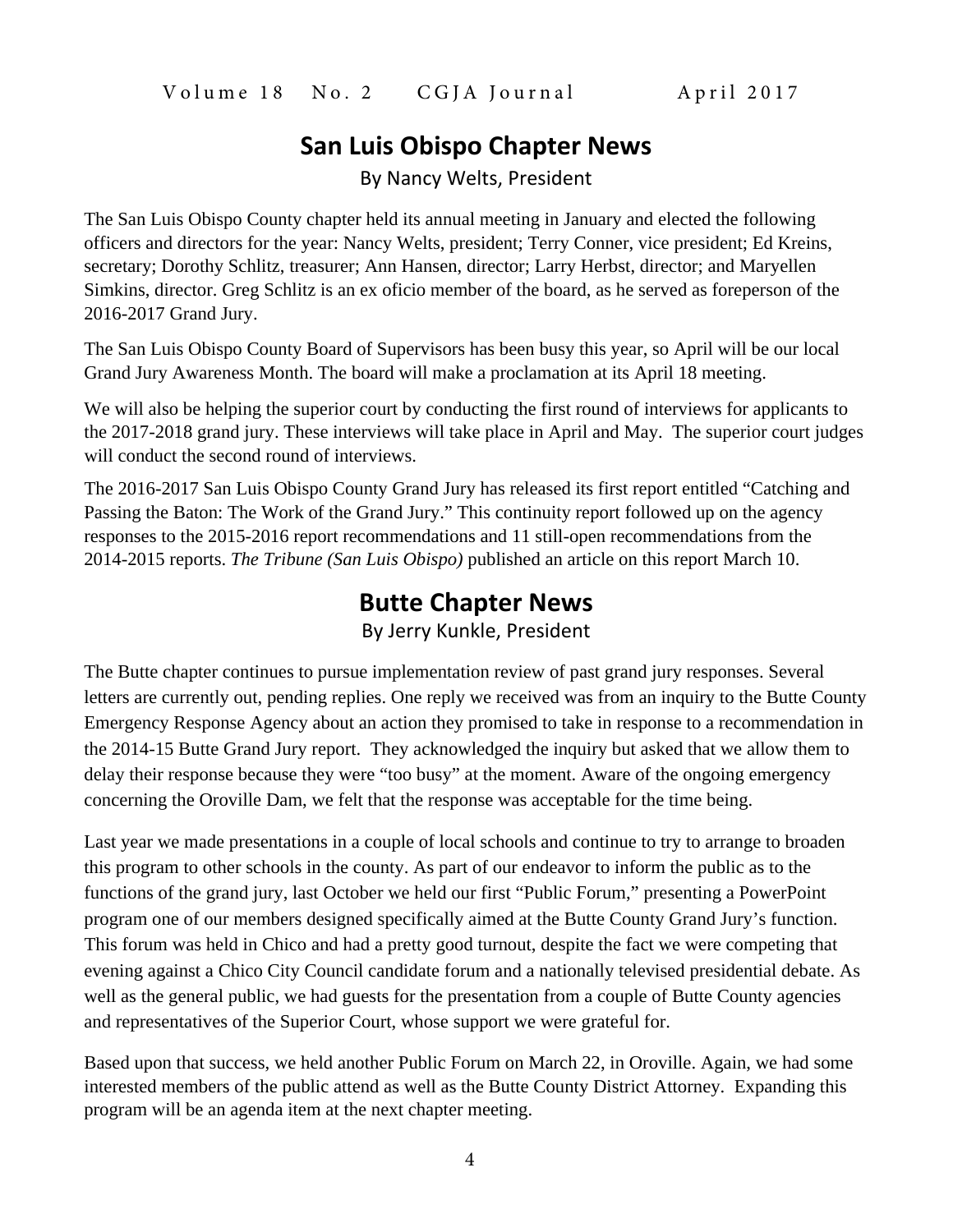### **San Luis Obispo Chapter News**

By Nancy Welts, President

The San Luis Obispo County chapter held its annual meeting in January and elected the following officers and directors for the year: Nancy Welts, president; Terry Conner, vice president; Ed Kreins, secretary; Dorothy Schlitz, treasurer; Ann Hansen, director; Larry Herbst, director; and Maryellen Simkins, director. Greg Schlitz is an ex oficio member of the board, as he served as foreperson of the 2016-2017 Grand Jury.

The San Luis Obispo County Board of Supervisors has been busy this year, so April will be our local Grand Jury Awareness Month. The board will make a proclamation at its April 18 meeting.

We will also be helping the superior court by conducting the first round of interviews for applicants to the 2017-2018 grand jury. These interviews will take place in April and May. The superior court judges will conduct the second round of interviews.

The 2016-2017 San Luis Obispo County Grand Jury has released its first report entitled "Catching and Passing the Baton: The Work of the Grand Jury." This continuity report followed up on the agency responses to the 2015-2016 report recommendations and 11 still-open recommendations from the 2014-2015 reports. *The Tribune (San Luis Obispo)* published an article on this report March 10.

### **Butte Chapter News**

By Jerry Kunkle, President

The Butte chapter continues to pursue implementation review of past grand jury responses. Several letters are currently out, pending replies. One reply we received was from an inquiry to the Butte County Emergency Response Agency about an action they promised to take in response to a recommendation in the 2014-15 Butte Grand Jury report. They acknowledged the inquiry but asked that we allow them to delay their response because they were "too busy" at the moment. Aware of the ongoing emergency concerning the Oroville Dam, we felt that the response was acceptable for the time being.

Last year we made presentations in a couple of local schools and continue to try to arrange to broaden this program to other schools in the county. As part of our endeavor to inform the public as to the functions of the grand jury, last October we held our first "Public Forum," presenting a PowerPoint program one of our members designed specifically aimed at the Butte County Grand Jury's function. This forum was held in Chico and had a pretty good turnout, despite the fact we were competing that evening against a Chico City Council candidate forum and a nationally televised presidential debate. As well as the general public, we had guests for the presentation from a couple of Butte County agencies and representatives of the Superior Court, whose support we were grateful for.

Based upon that success, we held another Public Forum on March 22, in Oroville. Again, we had some interested members of the public attend as well as the Butte County District Attorney. Expanding this program will be an agenda item at the next chapter meeting.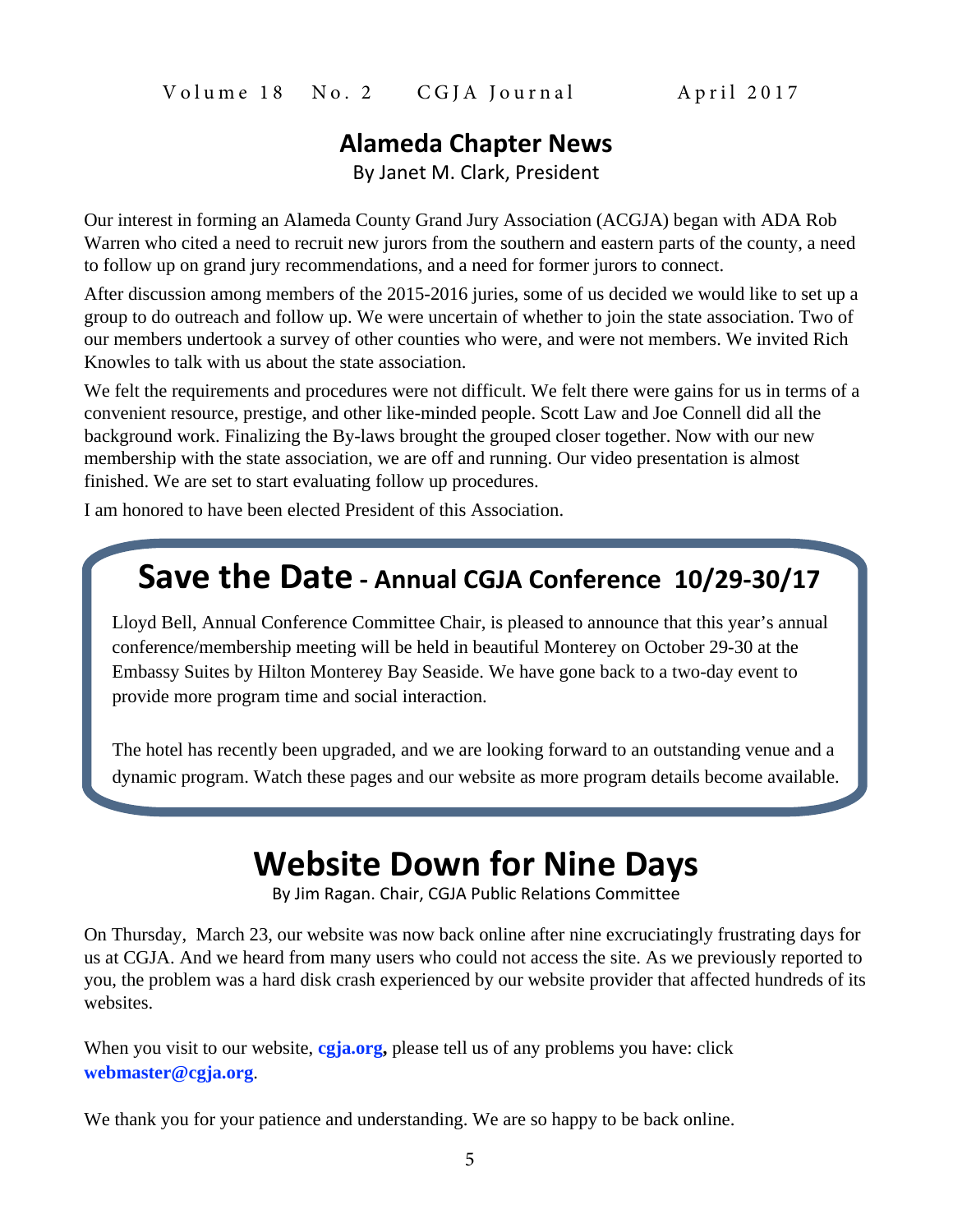### **Alameda Chapter News**

By Janet M. Clark, President

Our interest in forming an Alameda County Grand Jury Association (ACGJA) began with ADA Rob Warren who cited a need to recruit new jurors from the southern and eastern parts of the county, a need to follow up on grand jury recommendations, and a need for former jurors to connect.

After discussion among members of the 2015-2016 juries, some of us decided we would like to set up a group to do outreach and follow up. We were uncertain of whether to join the state association. Two of our members undertook a survey of other counties who were, and were not members. We invited Rich Knowles to talk with us about the state association.

We felt the requirements and procedures were not difficult. We felt there were gains for us in terms of a convenient resource, prestige, and other like-minded people. Scott Law and Joe Connell did all the background work. Finalizing the By-laws brought the grouped closer together. Now with our new membership with the state association, we are off and running. Our video presentation is almost finished. We are set to start evaluating follow up procedures.

I am honored to have been elected President of this Association.

# **Save the Date - Annual CGJA Conference 10/29-30/17**

Lloyd Bell, Annual Conference Committee Chair, is pleased to announce that this year's annual conference/membership meeting will be held in beautiful Monterey on October 29-30 at the Embassy Suites by Hilton Monterey Bay Seaside. We have gone back to a two-day event to provide more program time and social interaction.

The hotel has recently been upgraded, and we are looking forward to an outstanding venue and a dynamic program. Watch these pages and our website as more program details become available.

# **Website Down for Nine Days**

By Jim Ragan. Chair, CGJA Public Relations Committee

On Thursday, March 23, our website was now back online after nine excruciatingly frustrating days for us at CGJA. And we heard from many users who could not access the site. As we previously reported to you, the problem was a hard disk crash experienced by our website provider that affected hundreds of its websites.

When you visit to our website, **[cgja.org](https://cgja.org/),** please tell us of any problems you have: click **[webmaster@cgja.org](mailto:webmaster@cgja.org)**.

We thank you for your patience and understanding. We are so happy to be back online.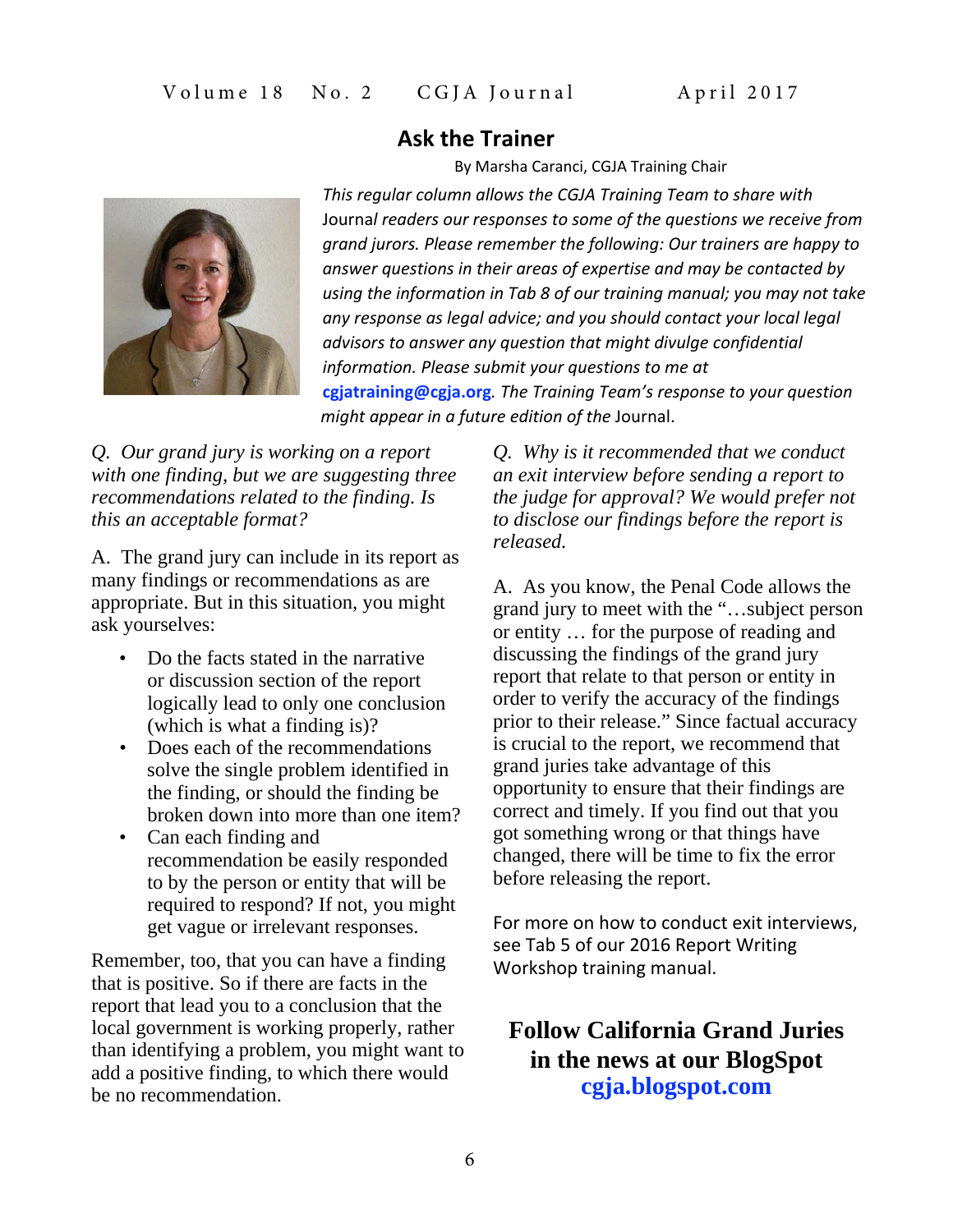### **Ask the Trainer**

By Marsha Caranci, CGJA Training Chair

*This regular column allows the CGJA Training Team to share with* Journa*l readers our responses to some of the questions we receive from grand jurors. Please remember the following: Our trainers are happy to answer questions in their areas of expertise and may be contacted by using the information in Tab 8 of our training manual; you may not take any response as legal advice; and you should contact your local legal advisors to answer any question that might divulge confidential information. Please submit your questions to me at* **cgjatraining@cgja.org***. The Training Team's response to your question might appear in a future edition of the* Journal.

*Q. Our grand jury is working on a report with one finding, but we are suggesting three recommendations related to the finding. Is this an acceptable format?*

A. The grand jury can include in its report as many findings or recommendations as are appropriate. But in this situation, you might ask yourselves:

- Do the facts stated in the narrative or discussion section of the report logically lead to only one conclusion (which is what a finding is)?
- Does each of the recommendations solve the single problem identified in the finding, or should the finding be broken down into more than one item?
- Can each finding and recommendation be easily responded to by the person or entity that will be required to respond? If not, you might get vague or irrelevant responses.

Remember, too, that you can have a finding that is positive. So if there are facts in the report that lead you to a conclusion that the local government is working properly, rather than identifying a problem, you might want to add a positive finding, to which there would be no recommendation.

*Q. Why is it recommended that we conduct an exit interview before sending a report to the judge for approval? We would prefer not to disclose our findings before the report is released.*

A. As you know, the Penal Code allows the grand jury to meet with the "…subject person or entity … for the purpose of reading and discussing the findings of the grand jury report that relate to that person or entity in order to verify the accuracy of the findings prior to their release." Since factual accuracy is crucial to the report, we recommend that grand juries take advantage of this opportunity to ensure that their findings are correct and timely. If you find out that you got something wrong or that things have changed, there will be time to fix the error before releasing the report.

For more on how to conduct exit interviews, see Tab 5 of our 2016 Report Writing Workshop training manual.

### **Follow California Grand Juries in the news at our BlogSpot [cgja.blogspot.com](http://cgja.blogspot.com/)**

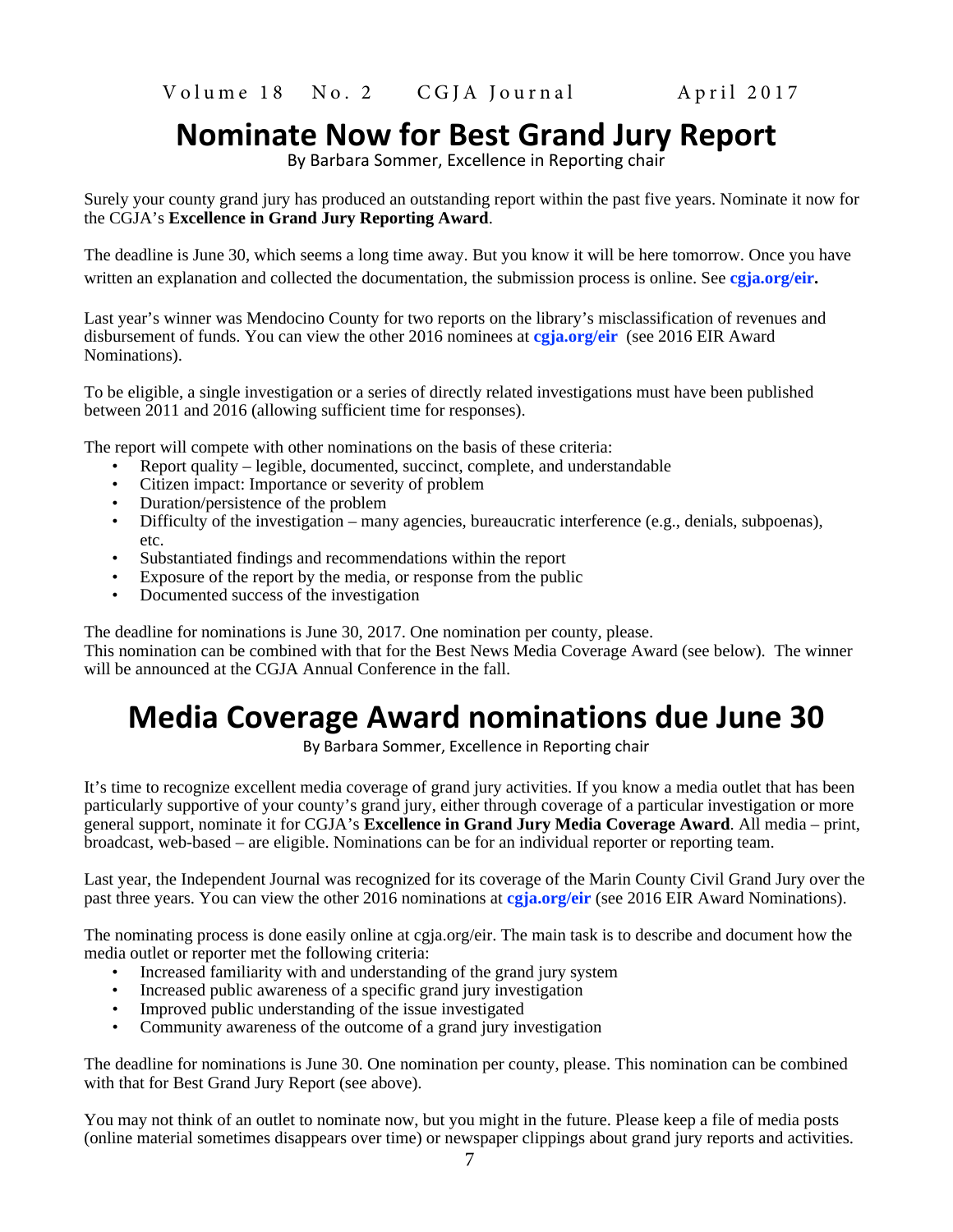# **Nominate Now for Best Grand Jury Report**

By Barbara Sommer, Excellence in Reporting chair

Surely your county grand jury has produced an outstanding report within the past five years. Nominate it now for the CGJA's **Excellence in Grand Jury Reporting Award**.

The deadline is June 30, which seems a long time away. But you know it will be here tomorrow. Once you have written an explanation and collected the documentation, the submission process is online. See **[cgja.org/eir](http://cgja.org/eir).**

Last year's winner was Mendocino County for two reports on the library's misclassification of revenues and disbursement of funds. You can view the other 2016 nominees at **[cgja.org/eir](http://cgja.org/eir)** (see 2016 EIR Award Nominations).

To be eligible, a single investigation or a series of directly related investigations must have been published between 2011 and 2016 (allowing sufficient time for responses).

The report will compete with other nominations on the basis of these criteria:

- Report quality legible, documented, succinct, complete, and understandable
- Citizen impact: Importance or severity of problem
- Duration/persistence of the problem
- Difficulty of the investigation many agencies, bureaucratic interference (e.g., denials, subpoenas), etc.
- Substantiated findings and recommendations within the report
- Exposure of the report by the media, or response from the public
- Documented success of the investigation

The deadline for nominations is June 30, 2017. One nomination per county, please.

This nomination can be combined with that for the Best News Media Coverage Award (see below). The winner will be announced at the CGJA Annual Conference in the fall.

# **Media Coverage Award nominations due June 30**

By Barbara Sommer, Excellence in Reporting chair

It's time to recognize excellent media coverage of grand jury activities. If you know a media outlet that has been particularly supportive of your county's grand jury, either through coverage of a particular investigation or more general support, nominate it for CGJA's **Excellence in Grand Jury Media Coverage Award**. All media – print, broadcast, web-based – are eligible. Nominations can be for an individual reporter or reporting team.

Last year, the Independent Journal was recognized for its coverage of the Marin County Civil Grand Jury over the past three years. You can view the other 2016 nominations at **[cgja.org/eir](http://cgja.org/eir)** (see 2016 EIR Award Nominations).

The nominating process is done easily online at cgja.org/eir. The main task is to describe and document how the media outlet or reporter met the following criteria:

- Increased familiarity with and understanding of the grand jury system
- Increased public awareness of a specific grand jury investigation
- Improved public understanding of the issue investigated
- Community awareness of the outcome of a grand jury investigation

The deadline for nominations is June 30. One nomination per county, please. This nomination can be combined with that for Best Grand Jury Report (see above).

You may not think of an outlet to nominate now, but you might in the future. Please keep a file of media posts (online material sometimes disappears over time) or newspaper clippings about grand jury reports and activities.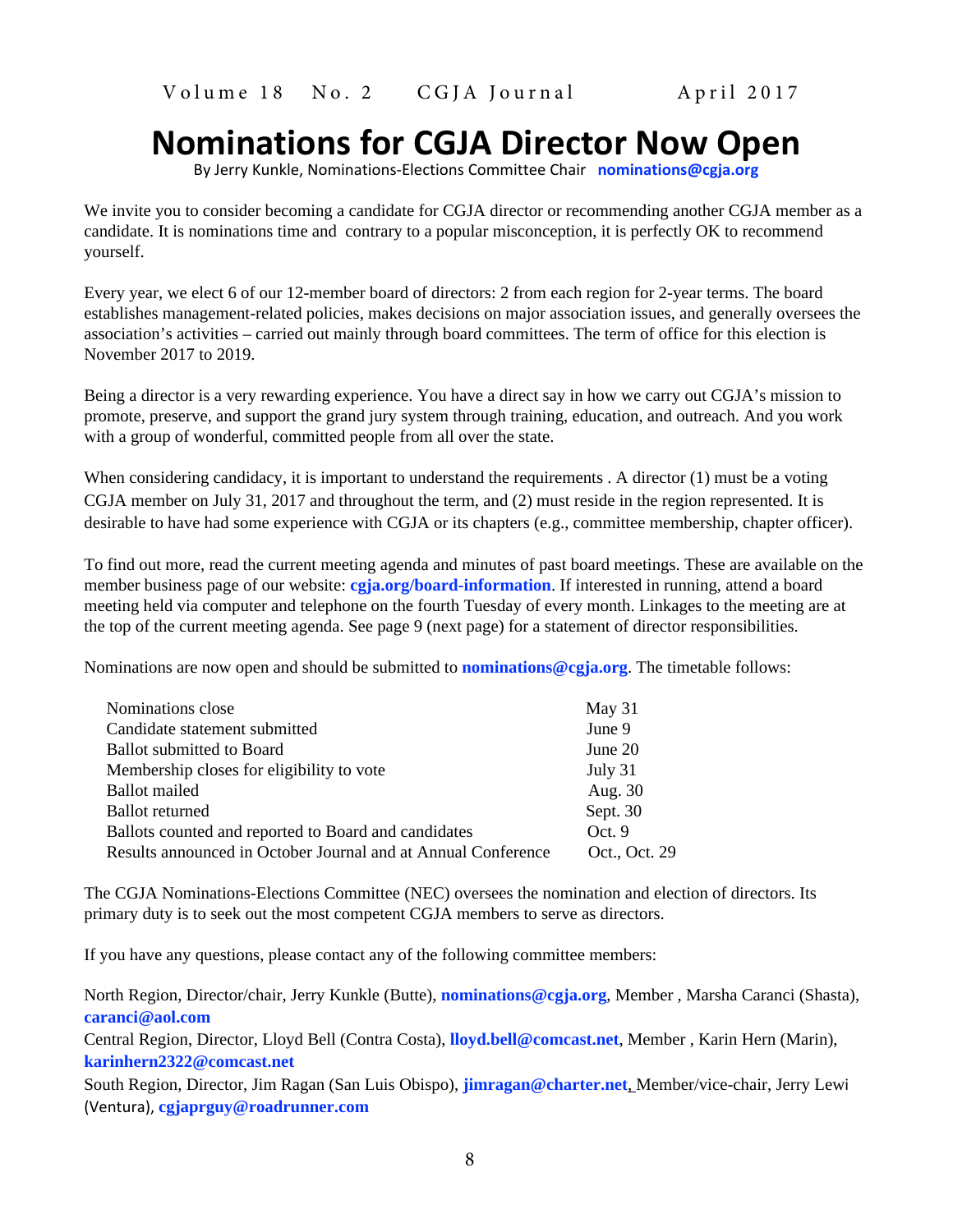# **Nominations for CGJA Director Now Open**

By Jerry Kunkle, Nominations-Elections Committee Chair **[nominations@cgja.org](mailto:nominations@cgja.org)**

We invite you to consider becoming a candidate for CGJA director or recommending another CGJA member as a candidate. It is nominations time and contrary to a popular misconception, it is perfectly OK to recommend yourself.

Every year, we elect 6 of our 12-member board of directors: 2 from each region for 2-year terms. The board establishes management-related policies, makes decisions on major association issues, and generally oversees the association's activities – carried out mainly through board committees. The term of office for this election is November 2017 to 2019.

Being a director is a very rewarding experience. You have a direct say in how we carry out CGJA's mission to promote, preserve, and support the grand jury system through training, education, and outreach. And you work with a group of wonderful, committed people from all over the state.

When considering candidacy, it is important to understand the requirements . A director (1) must be a voting CGJA member on July 31, 2017 and throughout the term, and (2) must reside in the region represented. It is desirable to have had some experience with CGJA or its chapters (e.g., committee membership, chapter officer).

To find out more, read the current meeting agenda and minutes of past board meetings. These are available on the member business page of our website: **[cgja.org/board-information](http://cgja.org/board-information)**. If interested in running, attend a board meeting held via computer and telephone on the fourth Tuesday of every month. Linkages to the meeting are at the top of the current meeting agenda. See page 9 (next page) for a statement of director responsibilities.

Nominations are now open and should be submitted to **[nominations@cgja.org](mailto:nominations@cgja.org)**. The timetable follows:

| Nominations close                                             | May 31        |
|---------------------------------------------------------------|---------------|
| Candidate statement submitted                                 | June 9        |
| <b>Ballot</b> submitted to Board                              | June $20$     |
| Membership closes for eligibility to vote                     | July 31       |
| <b>Ballot</b> mailed                                          | Aug. 30       |
| <b>Ballot</b> returned                                        | Sept. 30      |
| Ballots counted and reported to Board and candidates          | Oct.9         |
| Results announced in October Journal and at Annual Conference | Oct., Oct. 29 |

The CGJA Nominations-Elections Committee (NEC) oversees the nomination and election of directors. Its primary duty is to seek out the most competent CGJA members to serve as directors.

If you have any questions, please contact any of the following committee members:

North Region, Director/chair, Jerry Kunkle (Butte), **[nominations@cgja.org](mailto:nominations@cgja.org)**, Member , Marsha Caranci (Shasta), **[caranci@aol.com](mailto:caranci@aol.com)**

Central Region, Director, Lloyd Bell (Contra Costa), **[lloyd.bell@comcast.net](mailto:lloyd.bell@comcast.net)**, Member , Karin Hern (Marin), **[karinhern2322@comcast.net](mailto:karinhern2322@comcast.net)**

South Region, Director, Jim Ragan (San Luis Obispo), **[jimragan@charter.net](mailto:?subject=jimragan@charter.net)***,* Member/vice-chair, Jerry Lewi (Ventura), **[cgjaprguy@roadrunner.com](mailto:cgjaprguy@roadrunner.com)**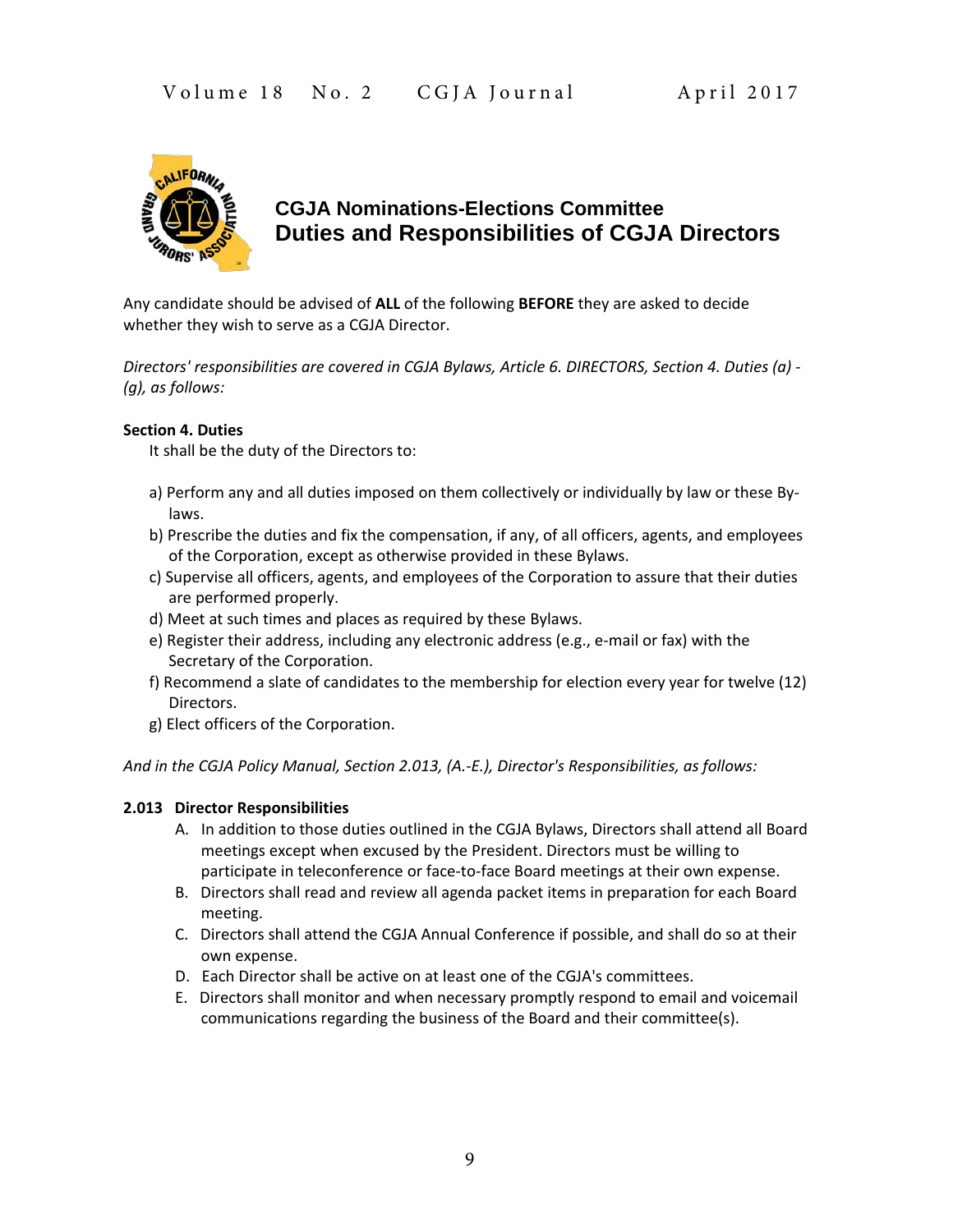

### **CGJA Nominations-Elections Committee Duties and Responsibilities of CGJA Directors**

Any candidate should be advised of **ALL** of the following **BEFORE** they are asked to decide whether they wish to serve as a CGJA Director.

*Directors' responsibilities are covered in CGJA Bylaws, Article 6. DIRECTORS, Section 4. Duties (a) - (g), as follows:*

#### **Section 4. Duties**

It shall be the duty of the Directors to:

- a) Perform any and all duties imposed on them collectively or individually by law or these Bylaws.
- b) Prescribe the duties and fix the compensation, if any, of all officers, agents, and employees of the Corporation, except as otherwise provided in these Bylaws.
- c) Supervise all officers, agents, and employees of the Corporation to assure that their duties are performed properly.
- d) Meet at such times and places as required by these Bylaws.
- e) Register their address, including any electronic address (e.g., e-mail or fax) with the Secretary of the Corporation.
- f) Recommend a slate of candidates to the membership for election every year for twelve (12) Directors.
- g) Elect officers of the Corporation.

*And in the CGJA Policy Manual, Section 2.013, (A.-E.), Director's Responsibilities, as follows:* 

### **2.013 Director Responsibilities**

- A. In addition to those duties outlined in the CGJA Bylaws, Directors shall attend all Board meetings except when excused by the President. Directors must be willing to participate in teleconference or face-to-face Board meetings at their own expense.
- B. Directors shall read and review all agenda packet items in preparation for each Board meeting.
- C. Directors shall attend the CGJA Annual Conference if possible, and shall do so at their own expense.
- D. Each Director shall be active on at least one of the CGJA's committees.
- E. Directors shall monitor and when necessary promptly respond to email and voicemail communications regarding the business of the Board and their committee(s).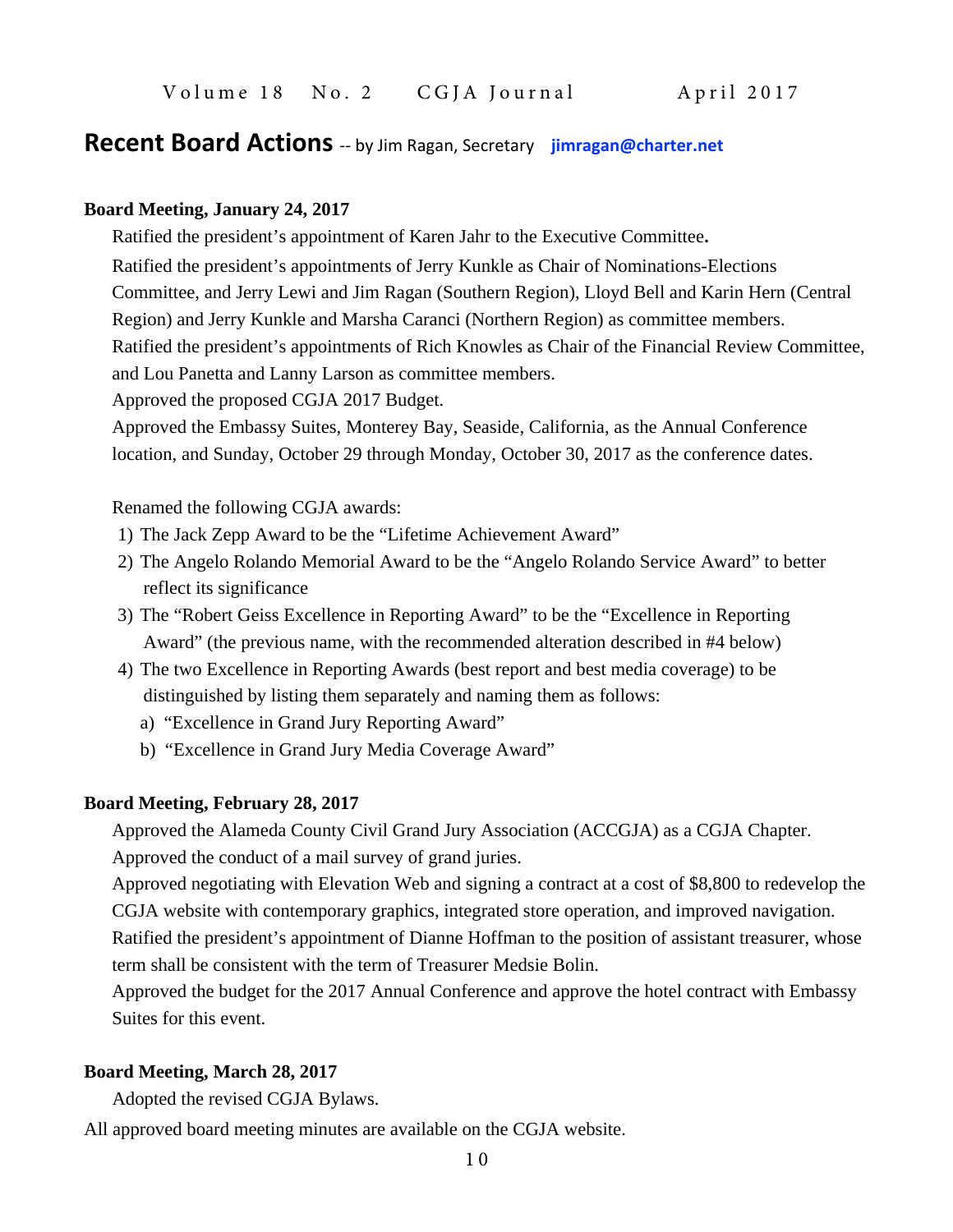### **Recent Board Actions** -- by Jim Ragan, Secretary **[jimragan@charter.net](mailto:jimragan@charter.net)**

#### **Board Meeting, January 24, 2017**

Ratified the president's appointment of Karen Jahr to the Executive Committee**.**

Ratified the president's appointments of Jerry Kunkle as Chair of Nominations-Elections Committee, and Jerry Lewi and Jim Ragan (Southern Region), Lloyd Bell and Karin Hern (Central Region) and Jerry Kunkle and Marsha Caranci (Northern Region) as committee members. Ratified the president's appointments of Rich Knowles as Chair of the Financial Review Committee, and Lou Panetta and Lanny Larson as committee members.

Approved the proposed CGJA 2017 Budget.

Approved the Embassy Suites, Monterey Bay, Seaside, California, as the Annual Conference location, and Sunday, October 29 through Monday, October 30, 2017 as the conference dates.

#### Renamed the following CGJA awards:

- 1) The Jack Zepp Award to be the "Lifetime Achievement Award"
- 2) The Angelo Rolando Memorial Award to be the "Angelo Rolando Service Award" to better reflect its significance
- 3) The "Robert Geiss Excellence in Reporting Award" to be the "Excellence in Reporting Award" (the previous name, with the recommended alteration described in #4 below)
- 4) The two Excellence in Reporting Awards (best report and best media coverage) to be distinguished by listing them separately and naming them as follows:

a) "Excellence in Grand Jury Reporting Award"

b) "Excellence in Grand Jury Media Coverage Award"

#### **Board Meeting, February 28, 2017**

Approved the Alameda County Civil Grand Jury Association (ACCGJA) as a CGJA Chapter. Approved the conduct of a mail survey of grand juries.

Approved negotiating with Elevation Web and signing a contract at a cost of \$8,800 to redevelop the CGJA website with contemporary graphics, integrated store operation, and improved navigation.

Ratified the president's appointment of Dianne Hoffman to the position of assistant treasurer, whose term shall be consistent with the term of Treasurer Medsie Bolin.

Approved the budget for the 2017 Annual Conference and approve the hotel contract with Embassy Suites for this event.

### **Board Meeting, March 28, 2017**

Adopted the revised CGJA Bylaws.

All approved board meeting minutes are available on the CGJA website.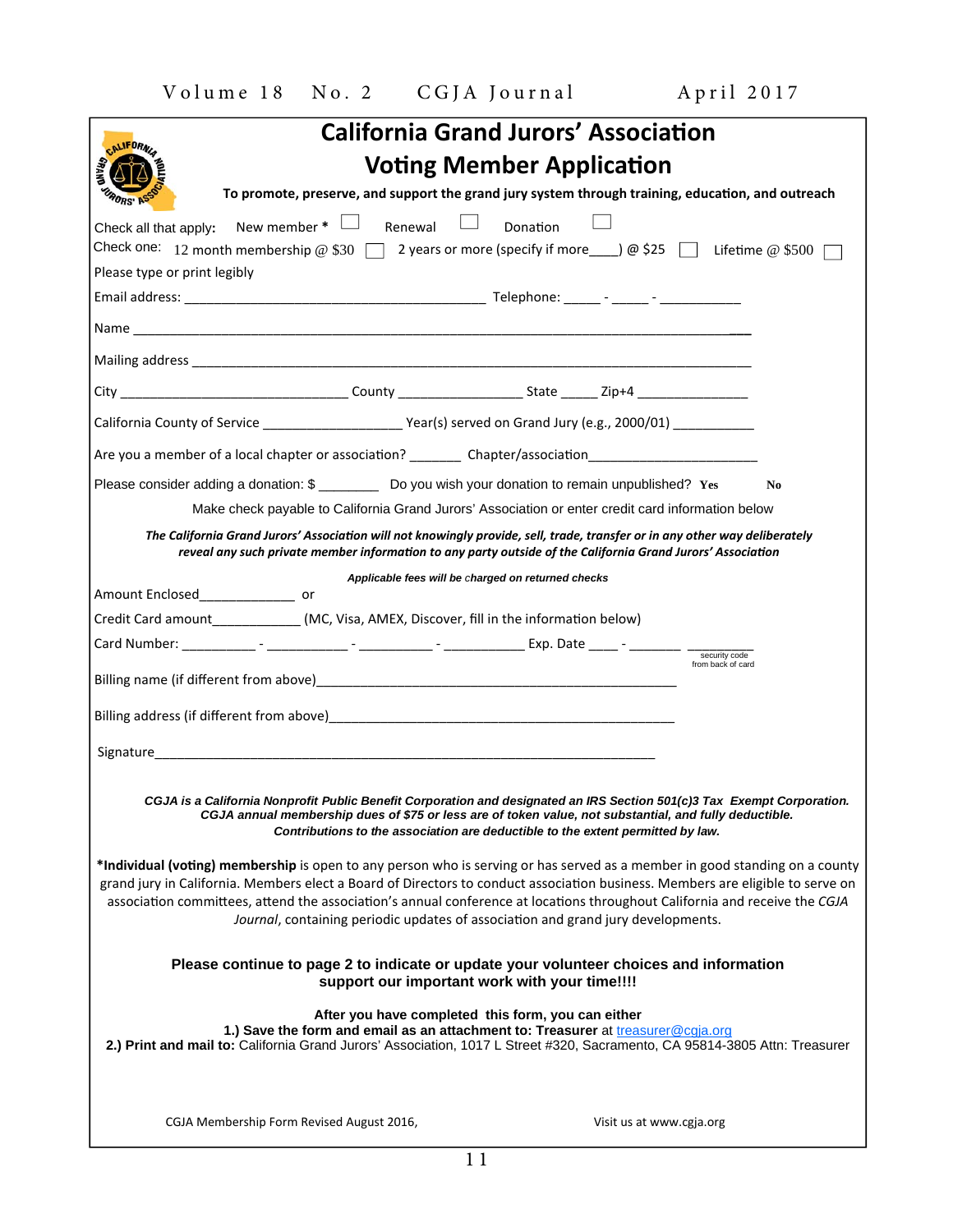| <b>California Grand Jurors' Association</b>                                                                                                                                                                                                                                                                          |
|----------------------------------------------------------------------------------------------------------------------------------------------------------------------------------------------------------------------------------------------------------------------------------------------------------------------|
| CALIFORNIA<br><b>Voting Member Application</b>                                                                                                                                                                                                                                                                       |
| To promote, preserve, and support the grand jury system through training, education, and outreach<br>RORS' ASS                                                                                                                                                                                                       |
| New member $* \Box$ Renewal<br>$\mathcal{L}$<br>Donation<br>Check all that apply:                                                                                                                                                                                                                                    |
| Check one: 12 month membership @ \$30 \[ 2 years or more (specify if more ____) @ \$25 \[ Lifetime @ \$500 \[                                                                                                                                                                                                        |
| Please type or print legibly                                                                                                                                                                                                                                                                                         |
|                                                                                                                                                                                                                                                                                                                      |
|                                                                                                                                                                                                                                                                                                                      |
|                                                                                                                                                                                                                                                                                                                      |
| City ___________________________________County _____________________State _______ Zip+4 _________________                                                                                                                                                                                                            |
|                                                                                                                                                                                                                                                                                                                      |
|                                                                                                                                                                                                                                                                                                                      |
| Please consider adding a donation: \$ ___________ Do you wish your donation to remain unpublished? Yes<br>N <sub>0</sub>                                                                                                                                                                                             |
| Make check payable to California Grand Jurors' Association or enter credit card information below                                                                                                                                                                                                                    |
| The California Grand Jurors' Association will not knowingly provide, sell, trade, transfer or in any other way deliberately<br>reveal any such private member information to any party outside of the California Grand Jurors' Association                                                                           |
| Applicable fees will be charged on returned checks                                                                                                                                                                                                                                                                   |
| Amount Enclosed___________________ or                                                                                                                                                                                                                                                                                |
| Credit Card amount_____________(MC, Visa, AMEX, Discover, fill in the information below)                                                                                                                                                                                                                             |
| security code<br>from back of card                                                                                                                                                                                                                                                                                   |
|                                                                                                                                                                                                                                                                                                                      |
|                                                                                                                                                                                                                                                                                                                      |
|                                                                                                                                                                                                                                                                                                                      |
|                                                                                                                                                                                                                                                                                                                      |
| CGJA is a California Nonprofit Public Benefit Corporation and designated an IRS Section 501(c)3 Tax Exempt Corporation.<br>CGJA annual membership dues of \$75 or less are of token value, not substantial, and fully deductible.<br>Contributions to the association are deductible to the extent permitted by law. |
| *Individual (voting) membership is open to any person who is serving or has served as a member in good standing on a county                                                                                                                                                                                          |
| grand jury in California. Members elect a Board of Directors to conduct association business. Members are eligible to serve on                                                                                                                                                                                       |
| association committees, attend the association's annual conference at locations throughout California and receive the CGJA<br>Journal, containing periodic updates of association and grand jury developments.                                                                                                       |
|                                                                                                                                                                                                                                                                                                                      |
| Please continue to page 2 to indicate or update your volunteer choices and information<br>support our important work with your time!!!!                                                                                                                                                                              |
| After you have completed this form, you can either<br>1.) Save the form and email as an attachment to: Treasurer at treasurer@cgja.org<br>2.) Print and mail to: California Grand Jurors' Association, 1017 L Street #320, Sacramento, CA 95814-3805 Attn: Treasurer                                                 |
| CGJA Membership Form Revised August 2016,<br>Visit us at www.cgja.org                                                                                                                                                                                                                                                |